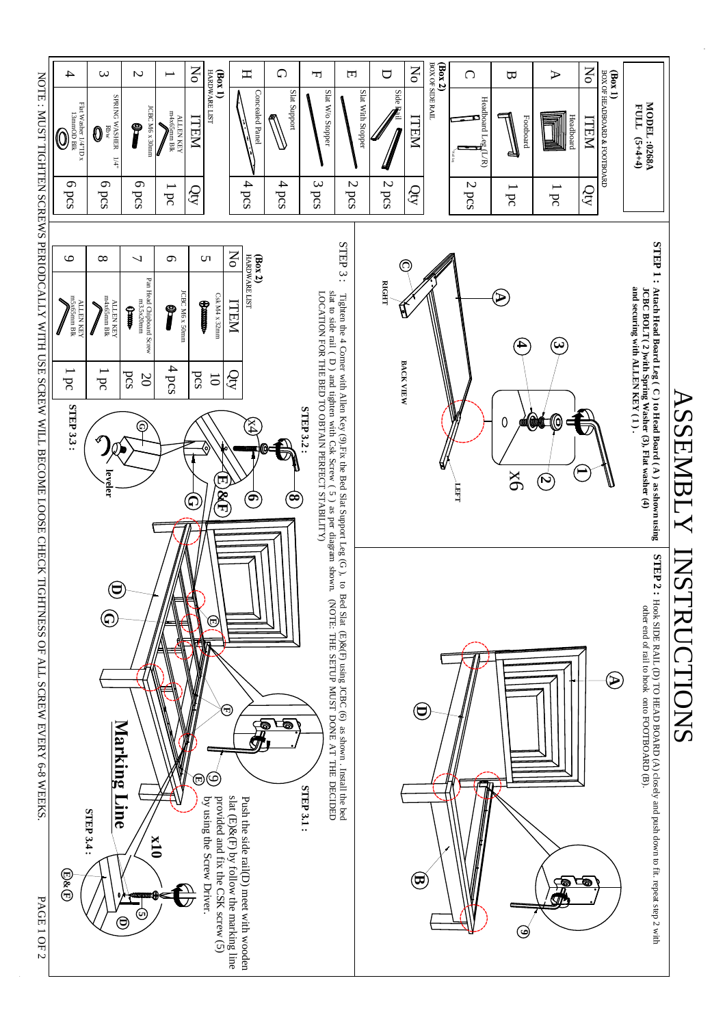